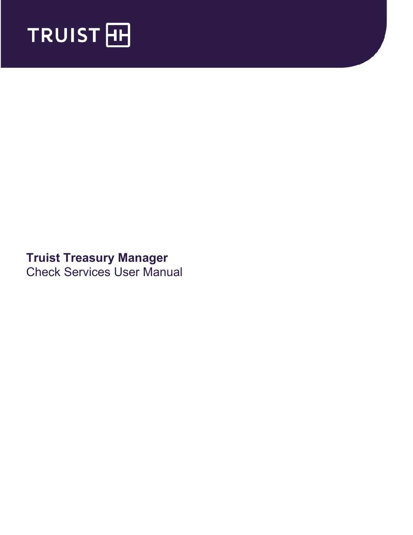

# **Truist Treasury Manager** Check Services User Manual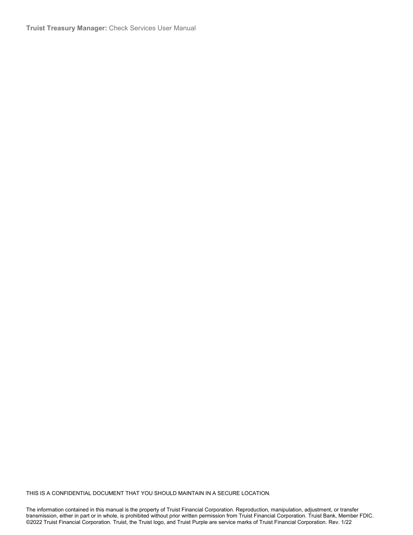**Truist Treasury Manager:** Check Services User Manual

THIS IS A CONFIDENTIAL DOCUMENT THAT YOU SHOULD MAINTAIN IN A SECURE LOCATION.

The information contained in this manual is the property of Truist Financial Corporation. Reproduction, manipulation, adjustment, or transfer transmission, either in part or in whole, is prohibited without prior written permission from Truist Financial Corporation. Truist Bank, Member FDIC. ©2022 Truist Financial Corporation. Truist, the Truist logo, and Truist Purple are service marks of Truist Financial Corporation. Rev. 1/22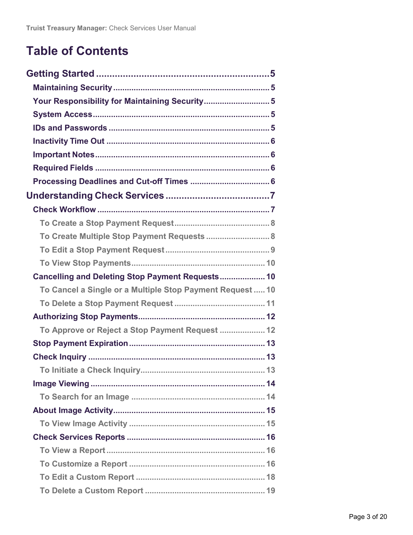# **Table of Contents**

| Your Responsibility for Maintaining Security 5            |  |
|-----------------------------------------------------------|--|
|                                                           |  |
|                                                           |  |
|                                                           |  |
|                                                           |  |
|                                                           |  |
|                                                           |  |
|                                                           |  |
|                                                           |  |
|                                                           |  |
| To Create Multiple Stop Payment Requests  8               |  |
|                                                           |  |
|                                                           |  |
| Cancelling and Deleting Stop Payment Requests 10          |  |
| To Cancel a Single or a Multiple Stop Payment Request  10 |  |
|                                                           |  |
|                                                           |  |
| To Approve or Reject a Stop Payment Request  12           |  |
|                                                           |  |
|                                                           |  |
|                                                           |  |
|                                                           |  |
|                                                           |  |
|                                                           |  |
|                                                           |  |
|                                                           |  |
|                                                           |  |
|                                                           |  |
|                                                           |  |
|                                                           |  |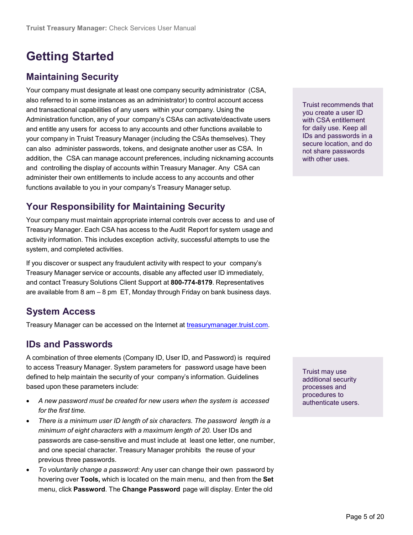# <span id="page-4-0"></span>**Getting Started**

## <span id="page-4-1"></span>**Maintaining Security**

Your company must designate at least one company security administrator (CSA, also referred to in some instances as an administrator) to control account access and transactional capabilities of any users within your company. Using the Administration function, any of your company's CSAs can activate/deactivate users and entitle any users for access to any accounts and other functions available to your company in Truist Treasury Manager (including the CSAs themselves). They can also administer passwords, tokens, and designate another user as CSA. In addition, the CSA can manage account preferences, including nicknaming accounts and controlling the display of accounts within Treasury Manager. Any CSA can administer their own entitlements to include access to any accounts and other functions available to you in your company's Treasury Manager setup.

<span id="page-4-2"></span>**Your Responsibility for Maintaining Security**

Your company must maintain appropriate internal controls over access to and use of Treasury Manager. Each CSA has access to the Audit Report for system usage and activity information. This includes exception activity, successful attempts to use the system, and completed activities.

If you discover or suspect any fraudulent activity with respect to your company's Treasury Manager service or accounts, disable any affected user ID immediately, and contact Treasury Solutions Client Support at **800-774-8179**. Representatives are available from 8 am – 8 pm ET, Monday through Friday on bank business days.

## <span id="page-4-3"></span>**System Access**

Treasury Manager can be accessed on the Internet at [treasurymanager.truist.com.](http://www.suntrust.com/sunviewtreasurymanager%20treasurymanager.truist.com)

### <span id="page-4-4"></span>**IDs and Passwords**

A combination of three elements (Company ID, User ID, and Password) is required to access Treasury Manager. System parameters for password usage have been defined to help maintain the security of your company's information. Guidelines based upon these parameters include:

- *A new password must be created for new users when the system is accessed for the first time.*
- *There is a minimum user ID length of six characters. The password length is a minimum of eight characters with a maximum length of 20.* User IDs and passwords are case-sensitive and must include at least one letter, one number, and one special character. Treasury Manager prohibits the reuse of your previous three passwords.
- *To voluntarily change a password:* Any user can change their own password by hovering over **Tools,** which is located on the main menu, and then from the **Set** menu, click **Password**. The **Change Password** page will display. Enter the old

Truist recommends that you create a user ID with CSA entitlement for daily use. Keep all IDs and passwords in a secure location, and do not share passwords with other uses.

Truist may use additional security processes and procedures to authenticate users.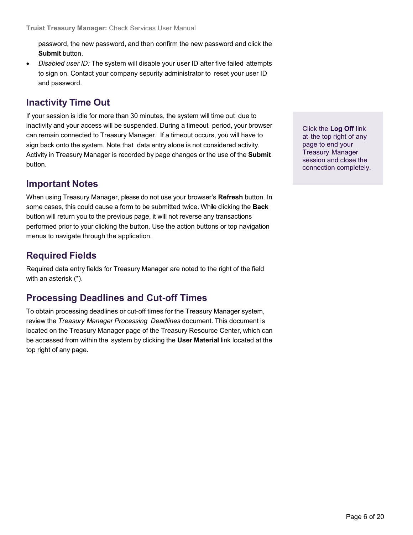<span id="page-5-0"></span>password, the new password, and then confirm the new password and click the **Submit** button.

• *Disabled user ID:* The system will disable your user ID after five failed attempts to sign on. Contact your company security administrator to reset your user ID and password.

### **Inactivity Time Out**

If your session is idle for more than 30 minutes, the system will time out due to inactivity and your access will be suspended. During a timeout period, your browser can remain connected to Treasury Manager. If a timeout occurs, you will have to sign back onto the system. Note that data entry alone is not considered activity. Activity in Treasury Manager is recorded by page changes or the use of the **Submit** button.

### <span id="page-5-1"></span>**Important Notes**

When using Treasury Manager, please do not use your browser's **Refresh** button. In some cases, this could cause a form to be submitted twice. While clicking the **Back** button will return you to the previous page, it will not reverse any transactions performed prior to your clicking the button. Use the action buttons or top navigation menus to navigate through the application.

## <span id="page-5-2"></span>**Required Fields**

Required data entry fields for Treasury Manager are noted to the right of the field with an asterisk (\*).

## <span id="page-5-3"></span>**Processing Deadlines and Cut-off Times**

To obtain processing deadlines or cut-off times for the Treasury Manager system, review the *Treasury Manager Processing Deadlines* document. This document is located on the Treasury Manager page of the Treasury Resource Center, which can be accessed from within the system by clicking the **User Material** link located at the top right of any page.

Click the **Log Off** link at the top right of any page to end your Treasury Manager session and close the connection completely.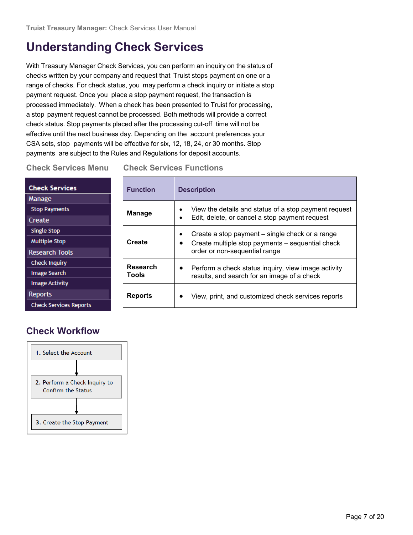# <span id="page-6-0"></span>**Understanding Check Services**

With Treasury Manager Check Services, you can perform an inquiry on the status of checks written by your company and request that Truist stops payment on one or a range of checks. For check status, you may perform a check inquiry or initiate a stop payment request. Once you place a stop payment request, the transaction is processed immediately. When a check has been presented to Truist for processing, a stop payment request cannot be processed. Both methods will provide a correct check status. Stop payments placed after the processing cut-off time will not be effective until the next business day. Depending on the account preferences your CSA sets, stop payments will be effective for six, 12, 18, 24, or 30 months. Stop payments are subject to the Rules and Regulations for deposit accounts.

**Check Services Menu Check Services Functions**

| <b>Check Services</b><br>Manage                                      | <b>Function</b>          | <b>Description</b>                                                                                                                                |
|----------------------------------------------------------------------|--------------------------|---------------------------------------------------------------------------------------------------------------------------------------------------|
| <b>Stop Payments</b><br>Create                                       | <b>Manage</b>            | View the details and status of a stop payment request<br>$\bullet$<br>Edit, delete, or cancel a stop payment request                              |
| <b>Single Stop</b><br><b>Multiple Stop</b><br><b>Research Tools</b>  | Create                   | Create a stop payment – single check or a range<br>$\bullet$<br>Create multiple stop payments – sequential check<br>order or non-sequential range |
| <b>Check Inquiry</b><br><b>Image Search</b><br><b>Image Activity</b> | <b>Research</b><br>Tools | Perform a check status inquiry, view image activity<br>results, and search for an image of a check                                                |
| <b>Reports</b><br><b>Check Services Reports</b>                      | <b>Reports</b>           | View, print, and customized check services reports<br>$\bullet$                                                                                   |

# <span id="page-6-1"></span>**Check Workflow**

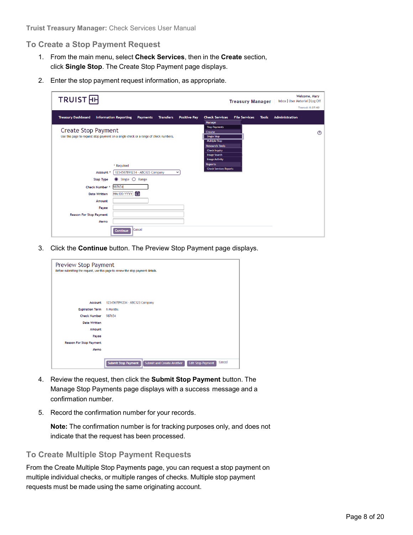#### <span id="page-7-0"></span>**To Create a Stop Payment Request**

- 1. From the main menu, select **Check Services**, then in the **Create** section, click **Single Stop**. The Create Stop Payment page displays.
- 2. Enter the stop payment request information, as appropriate.

| <b>TRUIST</b> HH                                                                                                        | Welcome, Mary<br>Inbox   User Material   Log Off<br><b>Treasury Manager</b>                                                                                                        |
|-------------------------------------------------------------------------------------------------------------------------|------------------------------------------------------------------------------------------------------------------------------------------------------------------------------------|
|                                                                                                                         | Timeout: 0:27:42                                                                                                                                                                   |
| <b>Treasury Dashboard</b><br><b>Information Reporting</b><br><b>Transfers</b><br><b>Positive Pay</b><br><b>Payments</b> | <b>Check Services</b><br><b>File Services</b><br><b>Administration</b><br><b>Tools</b><br>Manage                                                                                   |
| <b>Create Stop Payment</b><br>Use this page to request stop payment on a single check or a range of check numbers.      | <b>Stop Payments</b><br>Create<br>➀<br><b>Single Stop</b><br><b>Multiple Stop</b><br><b>Research Tools</b><br><b>Check Inquiry</b><br><b>Image Search</b><br><b>Image Activity</b> |
| * Required                                                                                                              | <b>Reports</b>                                                                                                                                                                     |
| 1234567891234 - ABC123 Company<br>Account *<br>$\check{~}$                                                              | <b>Check Services Reports</b>                                                                                                                                                      |
| <b>Stop Type</b><br>Single $\bigcirc$ Range                                                                             |                                                                                                                                                                                    |
| 987654<br>Check Number *                                                                                                |                                                                                                                                                                                    |
| 自<br>MM/DD/YYYY<br><b>Date Written</b>                                                                                  |                                                                                                                                                                                    |
| Amount                                                                                                                  |                                                                                                                                                                                    |
| Payee                                                                                                                   |                                                                                                                                                                                    |
| <b>Reason For Stop Payment</b>                                                                                          |                                                                                                                                                                                    |
| Memo                                                                                                                    |                                                                                                                                                                                    |
| Cancel<br><b>Continue</b>                                                                                               |                                                                                                                                                                                    |

3. Click the **Continue** button. The Preview Stop Payment page displays.

| <b>Preview Stop Payment</b> | Before submitting the request, use this page to review the stop payment details.                     |
|-----------------------------|------------------------------------------------------------------------------------------------------|
| Account                     | 1234567891234 - ABC123 Company                                                                       |
| <b>Expiration Term</b>      | 6 Months                                                                                             |
| <b>Check Number</b>         | 987654                                                                                               |
| <b>Date Written</b>         |                                                                                                      |
| Amount                      |                                                                                                      |
| Payee                       |                                                                                                      |
| Reason For Stop Payment     |                                                                                                      |
| Memo                        |                                                                                                      |
|                             | Cancel<br><b>Submit Stop Payment</b><br><b>Submit and Create Another</b><br><b>Edit Stop Payment</b> |

- 4. Review the request, then click the **Submit Stop Payment** button. The Manage Stop Payments page displays with a success message and a confirmation number.
- 5. Record the confirmation number for your records.

**Note:** The confirmation number is for tracking purposes only, and does not indicate that the request has been processed.

#### <span id="page-7-1"></span>**To Create Multiple Stop Payment Requests**

From the Create Multiple Stop Payments page, you can request a stop payment on multiple individual checks, or multiple ranges of checks. Multiple stop payment requests must be made using the same originating account.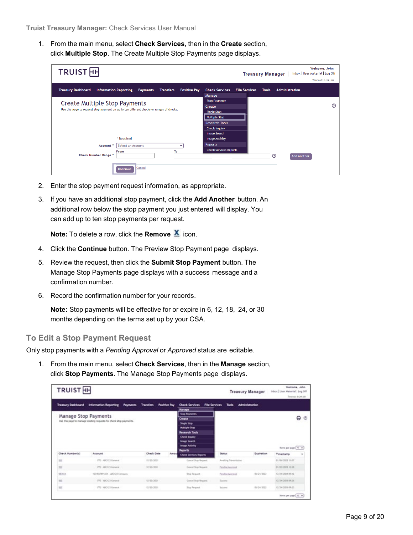1. From the main menu, select **Check Services**, then in the **Create** section, click **Multiple Stop**. The Create Multiple Stop Payments page displays.

| <b>TRUIST</b> <sub>H</sub>                                                                                              | Welcome, John<br>Inbox   User Material   Log Off<br><b>Treasury Manager</b>            |
|-------------------------------------------------------------------------------------------------------------------------|----------------------------------------------------------------------------------------|
|                                                                                                                         | Timeout: 0:29:58                                                                       |
| <b>Treasury Dashboard</b><br><b>Information Reporting</b><br><b>Payments</b><br><b>Transfers</b><br><b>Positive Pay</b> | <b>Administration</b><br><b>Check Services</b><br><b>File Services</b><br><b>Tools</b> |
|                                                                                                                         | Manage                                                                                 |
| Create Multiple Stop Payments                                                                                           | <b>Stop Payments</b>                                                                   |
|                                                                                                                         | <u>(?)</u><br>Create                                                                   |
| Use this page to request stop payment on up to ten different checks or ranges of checks.                                | <b>Single Stop</b>                                                                     |
|                                                                                                                         | <b>Multiple Stop</b>                                                                   |
|                                                                                                                         | <b>Research Tools</b>                                                                  |
|                                                                                                                         | <b>Check Inquiry</b>                                                                   |
|                                                                                                                         | <b>Image Search</b>                                                                    |
| * Required                                                                                                              | <b>Image Activity</b>                                                                  |
| <b>Select an Account</b><br>Account'                                                                                    | <b>Reports</b>                                                                         |
| To<br>From                                                                                                              | <b>Check Services Reports</b>                                                          |
| Check Number Range *                                                                                                    | $\odot$<br><b>Add Another</b>                                                          |
|                                                                                                                         |                                                                                        |
| <b>Cancel</b><br>Continue                                                                                               |                                                                                        |

- 2. Enter the stop payment request information, as appropriate.
- 3. If you have an additional stop payment, click the **Add Another** button. An additional row below the stop payment you just entered will display. You can add up to ten stop payments per request.

**Note:** To delete a row, click the **Remove**  $\mathbf{\underline{X}}$  icon.

- 4. Click the **Continue** button. The Preview Stop Payment page displays.
- 5. Review the request, then click the **Submit Stop Payment** button. The Manage Stop Payments page displays with a success message and a confirmation number.
- 6. Record the confirmation number for your records.

**Note:** Stop payments will be effective for or expire in 6, 12, 18, 24, or 30 months depending on the terms set up by your CSA.

#### <span id="page-8-0"></span>**To Edit a Stop Payment Request**

Only stop payments with a *Pending Approval* or *Approved* status are editable.

1. From the main menu, select **Check Services**, then in the **Manage** section, click **Stop Payments**. The Manage Stop Payments page displays.

| <b>TRUIST</b> <sub>HH</sub> |                                                                     |                                         |                                                                                                |                       | <b>Treasury Manager</b> | Welcome, John<br>Inbox User Material Log Off<br>Timelaut: 0:39:10 |              |
|-----------------------------|---------------------------------------------------------------------|-----------------------------------------|------------------------------------------------------------------------------------------------|-----------------------|-------------------------|-------------------------------------------------------------------|--------------|
| Treasury Dashboard          | <b>Information Reporting</b><br><b>Payments</b>                     | <b>Transfers</b><br><b>Positive Pay</b> | <b>Check Services</b><br>File Services<br><b>Manage</b>                                        | <b>Tools</b>          | <b>Administration</b>   |                                                                   |              |
| Manage Stop Payments        | Use this page to manage insisting requests for check stop payments. |                                         | Stop Payments<br>Create<br><b>Single Stop</b><br><b>Multiple Stop</b><br><b>Research Tools</b> |                       |                         |                                                                   | 0<br>$\circ$ |
|                             |                                                                     |                                         | <b>Check Inquiry</b><br>Image Search<br>Image Activity                                         |                       |                         | there per page (4) w                                              |              |
| Chack Humber(s)             | Account                                                             | <b>Chack Date</b>                       | Reports<br>Amou<br>Check Services Reports.                                                     | Status                | Expiration              | Timestamp                                                         | ٠            |
| <b>TO</b>                   | 1931 - ABC/623 General                                              | 12/30/3021                              | Cancel Shop Reguest                                                                            | Availing Transmission |                         | 01/06/2022 E1:07                                                  |              |
| iii                         | 1772 - ABC/LTD General                                              | 12/20/2021                              | Cancel Stop Request                                                                            | Pendine Avenueal      |                         | 01/03/2022 43:28                                                  |              |
| <b>MOSS</b>                 | 1234567891234 - ABC123 Company                                      |                                         | <b>Stop Request</b>                                                                            | Fendles, Netronal     | 06/24/2023              | 12/24/2021 09:42                                                  |              |
| m<br>33                     | (775 - ABC/LE) General                                              | 12/39/3021                              | Cenzal Stop Request                                                                            | Success               |                         | 12/24/2021 09:26                                                  |              |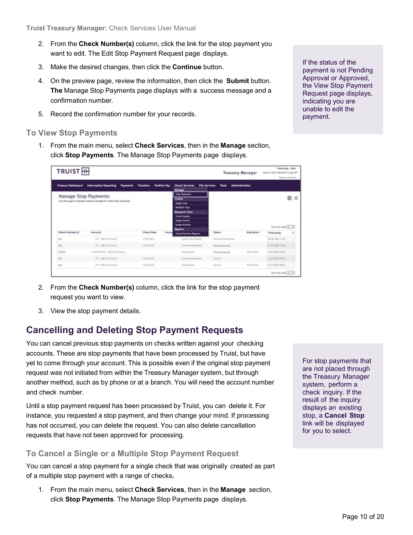- 2. From the **Check Number(s)** column, click the link for the stop payment you want to edit. The Edit Stop Payment Request page displays.
- 3. Make the desired changes, then click the **Continue** button.
- 4. On the preview page, review the information, then click the **Submit** button. **The** Manage Stop Payments page displays with a success message and a confirmation number.
- 5. Record the confirmation number for your records.

#### <span id="page-9-0"></span>**To View Stop Payments**

1. From the main menu, select **Check Services**, then in the **Manage** section, click **Stop Payments**. The Manage Stop Payments page displays.

| <b>TRUIST</b> <sub>HH</sub>                                                                |                                                 |                                                                                                                                                           |                                                                |                       | <b>Treasury Manager</b> |                       |        |
|--------------------------------------------------------------------------------------------|-------------------------------------------------|-----------------------------------------------------------------------------------------------------------------------------------------------------------|----------------------------------------------------------------|-----------------------|-------------------------|-----------------------|--------|
| <b>Treasury Dashboard</b>                                                                  | <b>Information Reporting</b><br><b>Payments</b> | <b>Positive Pay</b><br><b>Transfers</b>                                                                                                                   | <b>File Services</b><br><b>Check Services</b><br><b>Manage</b> | Tools                 | <b>Administration</b>   |                       |        |
| Manage Stop Payments<br>Use this page to manage existing requests for check stop payments. |                                                 | <b>Stop Payments</b><br>Create<br><b>Single Stop</b><br><b>Multiple Stree</b><br><b>Research Tools</b><br>Check Inquiry<br>Image Search<br>Image Activity |                                                                |                       |                         | ⊖<br>$\circ$          |        |
|                                                                                            |                                                 |                                                                                                                                                           |                                                                |                       |                         | therm per page (10 w) |        |
|                                                                                            | Account                                         | <b>Chack Date</b><br>Amou                                                                                                                                 | Reports<br>Check Services Reports                              | Status                | Expiration              | Timestamo             | $\sim$ |
|                                                                                            | 1771 - ABC123 General                           | 12.00/3021                                                                                                                                                | Cancel Shop Reguest                                            | Availing Transmission |                         | 01/06/2022 FEAT       |        |
|                                                                                            | 1772 - ABCTID General                           | 12/20/2021                                                                                                                                                | Cancel Stop Request                                            | Pending Approval      |                         | 01/03/2022 43:28      |        |
| Check Humber(s)<br><b>TO</b><br>199<br><b>MOV34</b>                                        | 1234507891234 - ABC123 Company                  |                                                                                                                                                           | <b>Stop Request</b>                                            | Fending Approval      | 06/24/2023              | 12/24/2021 09:42      |        |
| 722                                                                                        | DTS - ABC/CD General                            | 12/39/3021                                                                                                                                                | Cancel Stop Request                                            | Success               |                         | 12/24/2021 09:26      |        |

- 2. From the **Check Number(s)** column, click the link for the stop payment request you want to view.
- 3. View the stop payment details.

### <span id="page-9-1"></span>**Cancelling and Deleting Stop Payment Requests**

You can cancel previous stop payments on checks written against your checking accounts. These are stop payments that have been processed by Truist, but have yet to come through your account. This is possible even if the original stop payment request was not initiated from within the Treasury Manager system, but through another method, such as by phone or at a branch. You will need the account number and check number.

Until a stop payment request has been processed by Truist, you can delete it. For instance, you requested a stop payment, and then change your mind. If processing has not occurred, you can delete the request. You can also delete cancellation requests that have not been approved for processing.

### <span id="page-9-2"></span>**To Cancel a Single or a Multiple Stop Payment Request**

You can cancel a stop payment for a single check that was originally created as part of a multiple stop payment with a range of checks**.**

1. From the main menu, select **Check Services**, then in the **Manage** section, click **Stop Payments**. The Manage Stop Payments page displays.

For stop payments that are not placed through the Treasury Manager system, perform a check inquiry. If the result of the inquiry displays an existing stop, a **Cancel Stop** link will be displayed for you to select.

If the status of the payment is not Pending Approval or Approved, the View Stop Payment Request page displays, indicating you are unable to edit the payment.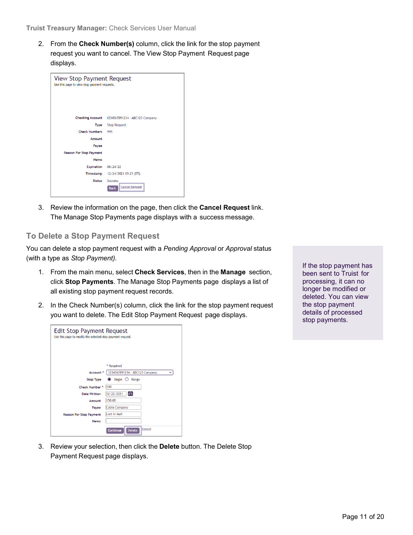**Truist Treasury Manager:** Check Services User Manual

2. From the **Check Number(s)** column, click the link for the stop payment request you want to cancel. The View Stop Payment Request page displays.

| <b>View Stop Payment Request</b><br>Use this page to view stop payment requests. |                                                        |
|----------------------------------------------------------------------------------|--------------------------------------------------------|
| <b>Checking Account</b>                                                          | 1234567891234 - ABC123 Company                         |
| Type                                                                             | <b>Stop Request</b>                                    |
| <b>Check Numbers</b>                                                             | 999                                                    |
| Amount                                                                           |                                                        |
| Payee                                                                            |                                                        |
| Reason For Stop Payment                                                          |                                                        |
| Memo                                                                             |                                                        |
| <b>Expiration</b>                                                                | 06/24/22                                               |
| Timestamp                                                                        | 12/24/2021 09:23 (ET)                                  |
| Status                                                                           | <b>Success</b><br><b>Cancel Request</b><br><b>Back</b> |

3. Review the information on the page, then click the **Cancel Request** link. The Manage Stop Payments page displays with a success message.

#### <span id="page-10-0"></span>**To Delete a Stop Payment Request**

You can delete a stop payment request with a *Pending Approval* or *Approval* status (with a type as *Stop Payment).*

- 1. From the main menu, select **Check Services**, then in the **Manage** section, click **Stop Payments**. The Manage Stop Payments page displays a list of all existing stop payment request records.
- 2. In the Check Number(s) column, click the link for the stop payment request you want to delete. The Edit Stop Payment Request page displays.

If the stop payment has been sent to Truist for processing, it can no longer be modified or deleted. You can view the stop payment details of processed stop payments.

| <b>Edit Stop Payment Request</b><br>Use this page to modify the selected stop payment request. |                                     |
|------------------------------------------------------------------------------------------------|-------------------------------------|
|                                                                                                | * Required                          |
| Account *                                                                                      | 1234567891234 - ABC123 Company<br>v |
| <b>Stop Type</b>                                                                               | Single $\bigcirc$ Range             |
| Check Number *                                                                                 | 100                                 |
| Date Written                                                                                   | 12/22/2021<br>畐                     |
| Amount                                                                                         | 150.00                              |
| Payee                                                                                          | <b>Cable Company</b>                |
| <b>Reason For Stop Payment</b>                                                                 | Lost in Mail                        |
| Memo                                                                                           |                                     |
|                                                                                                | Cancel<br>Continue<br><b>Delete</b> |

3. Review your selection, then click the **Delete** button. The Delete Stop Payment Request page displays.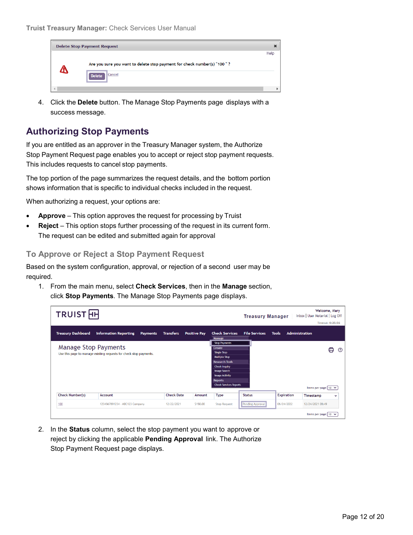

4. Click the **Delete** button. The Manage Stop Payments page displays with a success message.

## <span id="page-11-0"></span>**Authorizing Stop Payments**

If you are entitled as an approver in the Treasury Manager system, the Authorize Stop Payment Request page enables you to accept or reject stop payment requests. This includes requests to cancel stop payments.

The top portion of the page summarizes the request details, and the bottom portion shows information that is specific to individual checks included in the request.

When authorizing a request, your options are:

- **Approve** This option approves the request for processing by Truist
- **Reject** This option stops further processing of the request in its current form. The request can be edited and submitted again for approval

#### <span id="page-11-1"></span>**To Approve or Reject a Stop Payment Request**

Based on the system configuration, approval, or rejection of a second user may be required.

1. From the main menu, select **Check Services**, then in the **Manage** section, click **Stop Payments**. The Manage Stop Payments page displays.

| TRUIST <sub>HH</sub>      |                                                                                                   |                 |                   |                     |                                                                                                                                                                                                                                  | <b>Treasury Manager</b> |                   | Welcome, Mary<br>Inbox   User Material   Log Off<br><b>Timeout: 0:25:56</b> |
|---------------------------|---------------------------------------------------------------------------------------------------|-----------------|-------------------|---------------------|----------------------------------------------------------------------------------------------------------------------------------------------------------------------------------------------------------------------------------|-------------------------|-------------------|-----------------------------------------------------------------------------|
| <b>Treasury Dashboard</b> | <b>Information Reporting</b>                                                                      | <b>Payments</b> | <b>Transfers</b>  | <b>Positive Pay</b> | <b>Check Services</b><br>Manage                                                                                                                                                                                                  | <b>File Services</b>    | <b>Tools</b>      | <b>Administration</b>                                                       |
|                           | <b>Manage Stop Payments</b><br>Use this page to manage existing requests for check stop payments. |                 |                   |                     | <b>Stop Payments</b><br>Create<br><b>Single Stop</b><br><b>Multiple Stop</b><br><b>Research Tools</b><br><b>Check Inquiry</b><br><b>Image Search</b><br><b>Image Activity</b><br><b>Reports</b><br><b>Check Services Reports</b> |                         |                   | ⊜<br>➀<br>Items per page $10 \times$                                        |
| Check Number(s)           | Account                                                                                           |                 | <b>Check Date</b> | Amount              | <b>Type</b>                                                                                                                                                                                                                      | <b>Status</b>           | <b>Expiration</b> | Timestamp<br>$\checkmark$                                                   |
| 100                       | 1234567891234 - ABC123 Company                                                                    |                 | 12/22/2021        | \$150.00            | <b>Stop Request</b>                                                                                                                                                                                                              | <b>Pending Approval</b> | 06/24/2022        | 12/24/2021 08:49                                                            |
|                           |                                                                                                   |                 |                   |                     |                                                                                                                                                                                                                                  |                         |                   | Items per page $10 \times$                                                  |

2. In the **Status** column, select the stop payment you want to approve or reject by clicking the applicable **Pending Approval** link. The Authorize Stop Payment Request page displays.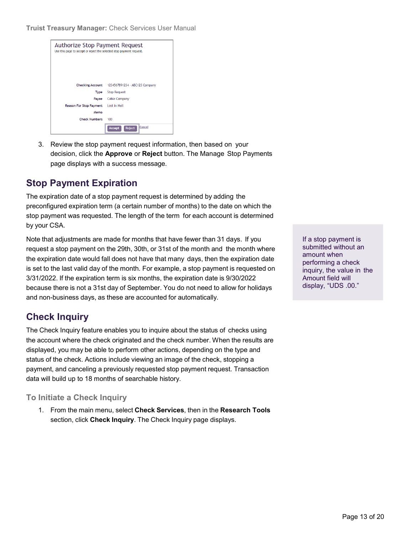**Truist Treasury Manager:** Check Services User Manual

| Authorize Stop Payment Request<br>Use this page to accept or reject the selected stop payment request. |                                |  |
|--------------------------------------------------------------------------------------------------------|--------------------------------|--|
| <b>Checking Account</b>                                                                                | 1234567891234 - ABC123 Company |  |
| Type                                                                                                   | <b>Stop Request</b>            |  |
| Payee                                                                                                  | <b>Cable Company</b>           |  |
| Reason For Stop Payment                                                                                | <b>Lost in Mail</b>            |  |
| Memo                                                                                                   |                                |  |
| <b>Check Numbers</b>                                                                                   | 100                            |  |
|                                                                                                        | Cancel<br>Reject<br>Accept     |  |

3. Review the stop payment request information, then based on your decision, click the **Approve** or **Reject** button. The Manage Stop Payments page displays with a success message.

## <span id="page-12-0"></span>**Stop Payment Expiration**

The expiration date of a stop payment request is determined by adding the preconfigured expiration term (a certain number of months) to the date on which the stop payment was requested. The length of the term for each account is determined by your CSA.

Note that adjustments are made for months that have fewer than 31 days. If you request a stop payment on the 29th, 30th, or 31st of the month and the month where the expiration date would fall does not have that many days, then the expiration date is set to the last valid day of the month. For example, a stop payment is requested on 3/31/2022. If the expiration term is six months, the expiration date is 9/30/2022 because there is not a 31st day of September. You do not need to allow for holidays and non-business days, as these are accounted for automatically.

## <span id="page-12-1"></span>**Check Inquiry**

The Check Inquiry feature enables you to inquire about the status of checks using the account where the check originated and the check number. When the results are displayed, you may be able to perform other actions, depending on the type and status of the check. Actions include viewing an image of the check, stopping a payment, and canceling a previously requested stop payment request. Transaction data will build up to 18 months of searchable history.

### <span id="page-12-2"></span>**To Initiate a Check Inquiry**

1. From the main menu, select **Check Services**, then in the **Research Tools** section, click **Check Inquiry**. The Check Inquiry page displays.

If a stop payment is submitted without an amount when performing a check inquiry, the value in the Amount field will display, "UDS .00."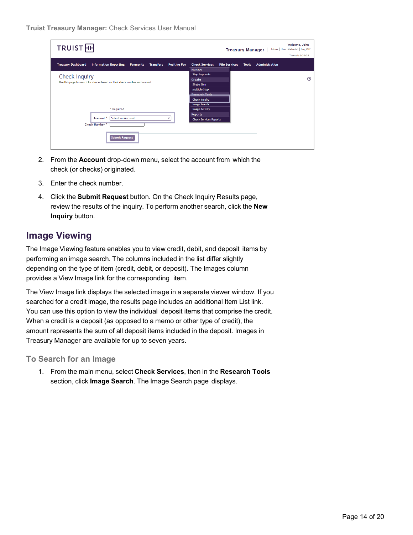| TRUIST <sub>H</sub>                                                                                                     | Welcome, John<br>Inbox   User Material   Log Off<br><b>Treasury Manager</b><br>Timeout: 0:29:35                                          |
|-------------------------------------------------------------------------------------------------------------------------|------------------------------------------------------------------------------------------------------------------------------------------|
| <b>Treasury Dashboard</b><br><b>Information Reporting</b><br><b>Positive Pay</b><br><b>Payments</b><br><b>Transfers</b> | <b>Administration</b><br><b>Check Services</b><br><b>File Services</b><br><b>Tools</b><br>Manage                                         |
| Check Inquiry<br>Use this page to search for checks based on their check number and amount.                             | <b>Stop Payments</b><br>$\odot$<br>Create<br><b>Single Stop</b><br><b>Multiple Stop</b><br><b>Doconrob Tools</b><br><b>Check Inquiry</b> |
| * Required<br>Select an Account<br>Account <sup>*</sup><br>v<br><b>Check Number</b> *<br><b>Submit Request</b>          | <b>Image Search</b><br><b>Image Activity</b><br><b>Reports</b><br><b>Check Services Reports</b>                                          |

- 2. From the **Account** drop-down menu, select the account from which the check (or checks) originated.
- 3. Enter the check number.
- 4. Click the **Submit Request** button. On the Check Inquiry Results page, review the results of the inquiry. To perform another search, click the **New Inquiry** button.

### <span id="page-13-0"></span>**Image Viewing**

The Image Viewing feature enables you to view credit, debit, and deposit items by performing an image search. The columns included in the list differ slightly depending on the type of item (credit, debit, or deposit). The Images column provides a View Image link for the corresponding item.

The View Image link displays the selected image in a separate viewer window. If you searched for a credit image, the results page includes an additional Item List link. You can use this option to view the individual deposit items that comprise the credit. When a credit is a deposit (as opposed to a memo or other type of credit), the amount represents the sum of all deposit items included in the deposit. Images in Treasury Manager are available for up to seven years.

#### <span id="page-13-1"></span>**To Search for an Image**

1. From the main menu, select **Check Services**, then in the **Research Tools** section, click **Image Search**. The Image Search page displays.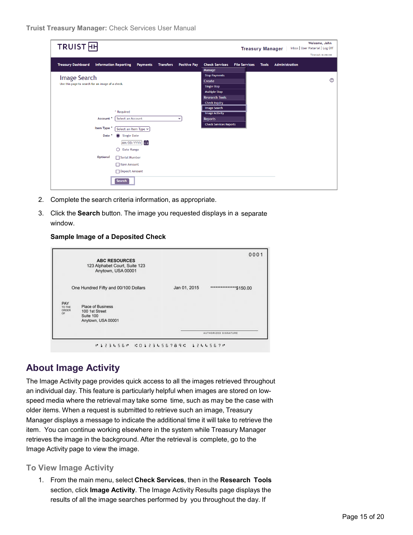| <b>TRUIST</b> <sub>H</sub>                                                   |                                         |                                                         | Welcome, John<br>Inbox   User Material   Log Off<br><b>Treasury Manager</b> |
|------------------------------------------------------------------------------|-----------------------------------------|---------------------------------------------------------|-----------------------------------------------------------------------------|
|                                                                              |                                         |                                                         | Timeout: 0:29:58                                                            |
| <b>Treasury Dashboard</b><br><b>Information Reporting</b><br><b>Payments</b> | <b>Positive Pay</b><br><b>Transfers</b> | <b>Check Services</b><br><b>File Services</b><br>Manage | <b>Administration</b><br><b>Tools</b>                                       |
| Image Search                                                                 |                                         | <b>Stop Payments</b>                                    |                                                                             |
| Use this page to search for an image of a check.                             |                                         | Create                                                  | ⑦                                                                           |
|                                                                              |                                         | Single Stop                                             |                                                                             |
|                                                                              |                                         | Multiple Stop<br><b>Research Tools</b>                  |                                                                             |
|                                                                              |                                         | <b>Check Inquiry</b>                                    |                                                                             |
|                                                                              |                                         | Image Search                                            |                                                                             |
| * Required                                                                   |                                         | <b>Image Activity</b>                                   |                                                                             |
| Select an Account<br>Account *                                               | $\checkmark$                            | <b>Reports</b>                                          |                                                                             |
| <b>Item Type</b><br>Select an Item Type v                                    |                                         | <b>Check Services Reports</b>                           |                                                                             |
| <b>Single Date</b><br>Date                                                   |                                         |                                                         |                                                                             |
| MM/DD/YYYY 日                                                                 |                                         |                                                         |                                                                             |
| Date Range<br>∩                                                              |                                         |                                                         |                                                                             |
|                                                                              |                                         |                                                         |                                                                             |
| Optional<br>Serial Number                                                    |                                         |                                                         |                                                                             |
| □ Item Amount                                                                |                                         |                                                         |                                                                             |
| Deposit Amount                                                               |                                         |                                                         |                                                                             |
| Search                                                                       |                                         |                                                         |                                                                             |

- 2. Complete the search criteria information, as appropriate.
- 3. Click the **Search** button. The image you requested displays in a separate window.

#### **Sample Image of a Deposited Check**



### <span id="page-14-0"></span>**About Image Activity**

The Image Activity page provides quick access to all the images retrieved throughout an individual day. This feature is particularly helpful when images are stored on lowspeed media where the retrieval may take some time, such as may be the case with older items. When a request is submitted to retrieve such an image, Treasury Manager displays a message to indicate the additional time it will take to retrieve the item. You can continue working elsewhere in the system while Treasury Manager retrieves the image in the background. After the retrieval is complete, go to the Image Activity page to view the image.

#### <span id="page-14-1"></span>**To View Image Activity**

1. From the main menu, select **Check Services**, then in the **Research Tools** section, click **Image Activity**. The Image Activity Results page displays the results of all the image searches performed by you throughout the day. If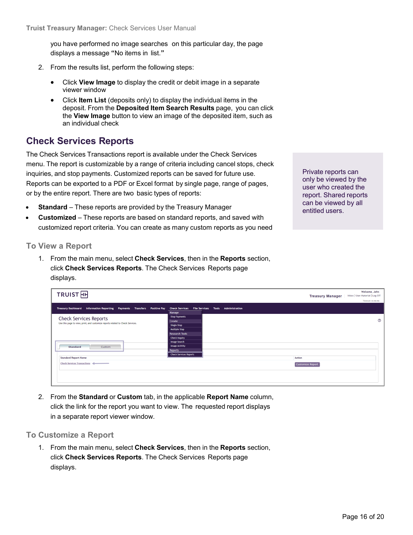you have performed no image searches on this particular day, the page displays a message "No items in list."

- 2. From the results list, perform the following steps:
	- Click **View Image** to display the credit or debit image in a separate viewer window
	- Click **Item List** (deposits only) to display the individual items in the deposit. From the **Deposited Item Search Results** page, you can click the **View Image** button to view an image of the deposited item, such as an individual check

### <span id="page-15-0"></span>**Check Services Reports**

The Check Services Transactions report is available under the Check Services menu. The report is customizable by a range of criteria including cancel stops, check inquiries, and stop payments. Customized reports can be saved for future use. Reports can be exported to a PDF or Excel format by single page, range of pages, or by the entire report. There are two basic types of reports:

- **Standard** These reports are provided by the Treasury Manager
- **Customized** These reports are based on standard reports, and saved with customized report criteria. You can create as many custom reports as you need

Private reports can only be viewed by the user who created the report. Shared reports can be viewed by all entitled users.

#### <span id="page-15-1"></span>**To View a Report**

1. From the main menu, select **Check Services**, then in the **Reports** section, click **Check Services Reports**. The Check Services Reports page displays.

|                                                                                                                                      |                                         | Welcome, John                                              |
|--------------------------------------------------------------------------------------------------------------------------------------|-----------------------------------------|------------------------------------------------------------|
| TRUIST <sub>H</sub>                                                                                                                  |                                         | Inbox   User Material   Log Off<br><b>Treasury Manager</b> |
|                                                                                                                                      |                                         | Timeout: 0:29:56                                           |
|                                                                                                                                      |                                         |                                                            |
| Information Reporting Payments Transfers Positive Pay Check Services File Services Tools Administration<br><b>Treasury Dashboard</b> | Manage                                  |                                                            |
|                                                                                                                                      | <b>Stop Payments</b>                    |                                                            |
| <b>Check Services Reports</b>                                                                                                        | Create                                  | ℗                                                          |
| Use this page to view, print, and customize reports related to Check Services.                                                       | <b>Single Stop</b>                      |                                                            |
|                                                                                                                                      | <b>Multiple Stop</b>                    |                                                            |
|                                                                                                                                      | <b>Research Tools</b>                   |                                                            |
|                                                                                                                                      | <b>Check Inquiry</b>                    |                                                            |
|                                                                                                                                      | <b>Image Search</b>                     |                                                            |
| <b>Standard</b><br>Custom                                                                                                            | <b>Image Activity</b>                   |                                                            |
|                                                                                                                                      | <b>Reports</b>                          |                                                            |
| <b>Standard Report Name</b>                                                                                                          | <b>Check Services Reports</b><br>Action |                                                            |
| Check Services Transactions                                                                                                          |                                         |                                                            |
|                                                                                                                                      | Customize Report                        |                                                            |
|                                                                                                                                      |                                         |                                                            |
|                                                                                                                                      |                                         |                                                            |
|                                                                                                                                      |                                         |                                                            |
|                                                                                                                                      |                                         |                                                            |

2. From the **Standard** or **Custom** tab, in the applicable **Report Name** column, click the link for the report you want to view. The requested report displays in a separate report viewer window.

#### <span id="page-15-2"></span>**To Customize a Report**

1. From the main menu, select **Check Services**, then in the **Reports** section, click **Check Services Reports**. The Check Services Reports page displays.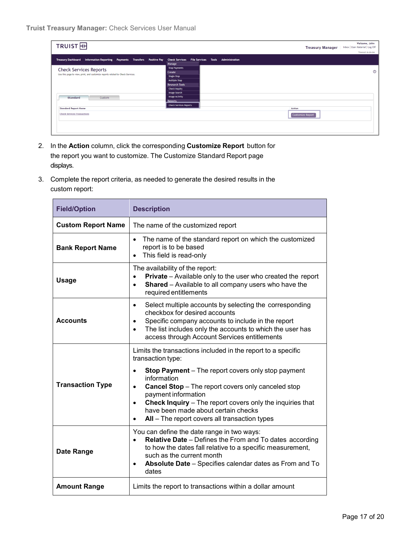

- 2. In the **Action** column, click the corresponding **Customize Report** button for the report you want to customize. The Customize Standard Report page displays.
- 3. Complete the report criteria, as needed to generate the desired results in the custom report:

| <b>Field/Option</b>       | <b>Description</b>                                                                                                                                                                                                                                                                                                                                                                                                                                         |  |  |  |  |  |
|---------------------------|------------------------------------------------------------------------------------------------------------------------------------------------------------------------------------------------------------------------------------------------------------------------------------------------------------------------------------------------------------------------------------------------------------------------------------------------------------|--|--|--|--|--|
| <b>Custom Report Name</b> | The name of the customized report                                                                                                                                                                                                                                                                                                                                                                                                                          |  |  |  |  |  |
| <b>Bank Report Name</b>   | The name of the standard report on which the customized<br>$\bullet$<br>report is to be based<br>This field is read-only<br>$\bullet$                                                                                                                                                                                                                                                                                                                      |  |  |  |  |  |
| <b>Usage</b>              | The availability of the report:<br>Private - Available only to the user who created the report<br>Shared - Available to all company users who have the<br>$\bullet$<br>required entitlements                                                                                                                                                                                                                                                               |  |  |  |  |  |
| <b>Accounts</b>           | Select multiple accounts by selecting the corresponding<br>$\bullet$<br>checkbox for desired accounts<br>Specific company accounts to include in the report<br>$\bullet$<br>The list includes only the accounts to which the user has<br>$\bullet$<br>access through Account Services entitlements                                                                                                                                                         |  |  |  |  |  |
| <b>Transaction Type</b>   | Limits the transactions included in the report to a specific<br>transaction type:<br><b>Stop Payment</b> – The report covers only stop payment<br>$\bullet$<br>information<br><b>Cancel Stop</b> - The report covers only canceled stop<br>$\bullet$<br>payment information<br>Check Inquiry - The report covers only the inquiries that<br>$\bullet$<br>have been made about certain checks<br>All - The report covers all transaction types<br>$\bullet$ |  |  |  |  |  |
| Date Range                | You can define the date range in two ways:<br>Relative Date - Defines the From and To dates according<br>$\bullet$<br>to how the dates fall relative to a specific measurement,<br>such as the current month<br>Absolute Date - Specifies calendar dates as From and To<br>$\bullet$<br>dates                                                                                                                                                              |  |  |  |  |  |
| <b>Amount Range</b>       | Limits the report to transactions within a dollar amount                                                                                                                                                                                                                                                                                                                                                                                                   |  |  |  |  |  |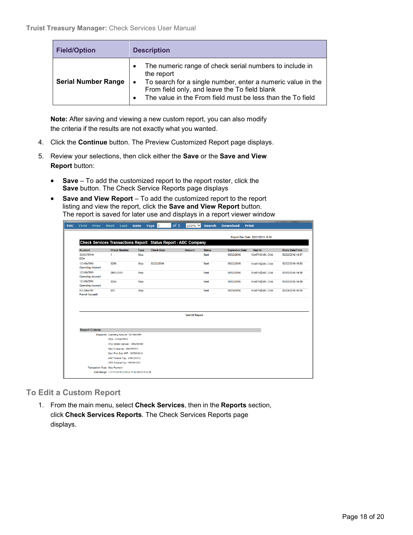| <b>Field/Option</b>        | <b>Description</b>                                                                                                                                                                                                                                               |
|----------------------------|------------------------------------------------------------------------------------------------------------------------------------------------------------------------------------------------------------------------------------------------------------------|
| <b>Serial Number Range</b> | The numeric range of check serial numbers to include in<br>the report<br>To search for a single number, enter a numeric value in the<br>$\bullet$<br>From field only, and leave the To field blank<br>The value in the From field must be less than the To field |

**Note:** After saving and viewing a new custom report, you can also modify the criteria if the results are not exactly what you wanted.

- 4. Click the **Continue** button. The Preview Customized Report page displays.
- 5. Review your selections, then click either the **Save** or the **Save and View Report** button:
	- **Save** To add the customized report to the report roster, click the **Save** button. The Check Service Reports page displays
	- **Save and View Report** To add the customized report to the report listing and view the report, click the **Save and View Report** button. The report is saved for later use and displays in a report viewer window

| <b>TOC</b>                  | <b>First</b>                         | <b>Prev</b>              | <b>Next</b>                              | Last                                                           | Goto                                                 | Page 1 |                   | of <sub>1</sub> | 100% ∨                                                          | <b>Search</b> | <b>Download</b>        | <b>Print</b>                      |                |                        |  |
|-----------------------------|--------------------------------------|--------------------------|------------------------------------------|----------------------------------------------------------------|------------------------------------------------------|--------|-------------------|-----------------|-----------------------------------------------------------------|---------------|------------------------|-----------------------------------|----------------|------------------------|--|
|                             |                                      |                          |                                          |                                                                |                                                      |        |                   |                 |                                                                 |               |                        | Report Run Date: 03/21/2016 16:58 |                |                        |  |
|                             |                                      |                          |                                          |                                                                |                                                      |        |                   |                 | Check Services Transactions Report: Status Report - ABC Company |               |                        |                                   |                |                        |  |
|                             | <b>Account</b>                       |                          |                                          | <b>Check Number</b>                                            | <b>Type</b>                                          |        | <b>Check Date</b> |                 | <b>Amount</b>                                                   | <b>Status</b> | <b>Expiration Date</b> | <b>User Id</b>                    |                | <b>Entry Date/Time</b> |  |
|                             | 2345678910<br><b>DDA</b>             |                          | 1                                        |                                                                | Stop                                                 |        |                   |                 |                                                                 | Sent          | 08/22/2016             |                                   | KSMITH@ABC.COM | 02/22/2016 14:57       |  |
|                             | 1234567890                           | <b>Operating Account</b> | 3256                                     |                                                                | <b>Stop</b>                                          |        | 02/22/2016        |                 |                                                                 | Sent          | 08/22/2016             |                                   | KSMITH@ABC.COM | 02/22/2016 15:53       |  |
|                             | 1234567890                           | <b>Operating Account</b> | 2001-2101                                |                                                                | <b>Stop</b>                                          |        |                   |                 |                                                                 | Sent          | 08/02/2016             |                                   | KSMITH@ABC.COM | 02/02/2016 14:38       |  |
|                             | 1234567890                           | <b>Operating Account</b> | 3256                                     |                                                                | Stop                                                 |        |                   |                 |                                                                 | Sent          | 08/02/2016             |                                   | KSMITH@ABC.COM | 02/02/2016 14:38       |  |
|                             | 0123456789<br><b>Payroll Account</b> |                          | 521                                      |                                                                | <b>Stop</b>                                          |        |                   |                 |                                                                 | Sent          | 08/24/2016             |                                   | KSMITH@ABC.COM | 02/24/2016 16:35       |  |
|                             |                                      |                          |                                          |                                                                |                                                      |        |                   |                 |                                                                 |               |                        |                                   |                |                        |  |
|                             |                                      |                          |                                          |                                                                |                                                      |        |                   |                 | <b>End Of Report</b>                                            |               |                        |                                   |                |                        |  |
|                             |                                      | <b>Report Criteria:</b>  |                                          |                                                                |                                                      |        |                   |                 |                                                                 |               |                        |                                   |                |                        |  |
|                             |                                      |                          | Accounts: Operating Account - 1234567890 |                                                                |                                                      |        |                   |                 |                                                                 |               |                        |                                   |                |                        |  |
|                             |                                      | DDA - 2345678910         |                                          |                                                                |                                                      |        |                   |                 |                                                                 |               |                        |                                   |                |                        |  |
|                             | XYZ Vendor Service - 3456789101      |                          |                                          |                                                                |                                                      |        |                   |                 |                                                                 |               |                        |                                   |                |                        |  |
| New Enterprise - 4567891011 |                                      |                          |                                          |                                                                |                                                      |        |                   |                 |                                                                 |               |                        |                                   |                |                        |  |
|                             | Dani Prior Day ARP - 5678910111      |                          |                                          |                                                                |                                                      |        |                   |                 |                                                                 |               |                        |                                   |                |                        |  |
|                             |                                      |                          |                                          | ARP Positive Pay - 6789101112<br>CPR Positive Pay - 7891011121 |                                                      |        |                   |                 |                                                                 |               |                        |                                   |                |                        |  |
|                             |                                      |                          |                                          |                                                                |                                                      |        |                   |                 |                                                                 |               |                        |                                   |                |                        |  |
|                             |                                      |                          | <b>Transaction Type: Stop Payment</b>    |                                                                | Date Range: > 01/31/2016 23:59 & <= 02/29/2016 23:59 |        |                   |                 |                                                                 |               |                        |                                   |                |                        |  |
|                             |                                      |                          |                                          |                                                                |                                                      |        |                   |                 |                                                                 |               |                        |                                   |                |                        |  |

<span id="page-17-0"></span>**To Edit a Custom Report**

1. From the main menu, select **Check Services**, then in the **Reports** section, click **Check Services Reports**. The Check Services Reports page displays.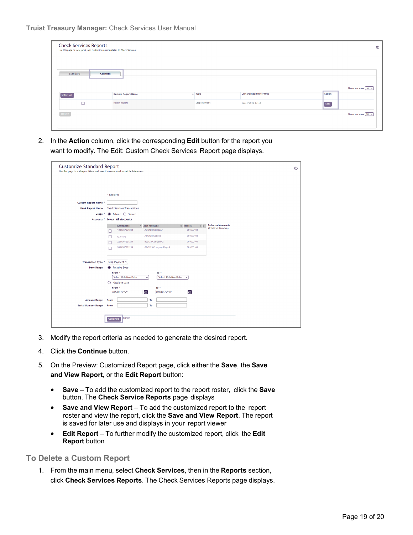| <b>Check Services Reports</b><br>Use this page to view, print, and customize reports related to Check Services. |                           |              |                               |                                           |
|-----------------------------------------------------------------------------------------------------------------|---------------------------|--------------|-------------------------------|-------------------------------------------|
| Standard                                                                                                        | <b>Custom</b>             |              |                               |                                           |
| Select All                                                                                                      | <b>Custom Report Name</b> | $\sim$ Type  | <b>Last Updated Date/Time</b> | Items per page $\boxed{10 - x}$<br>Action |
| $\Box$                                                                                                          | <b>Recon Report</b>       | Stop Payment | 12/15/2021 17:15              | Edit                                      |
| Delete                                                                                                          |                           |              |                               | Items per page $10 \times$                |

2. In the **Action** column, click the corresponding **Edit** button for the report you want to modify. The Edit: Custom Check Services Report page displays.

| <b>Customize Standard Report</b><br>Use this page to add report filters and save the customized report for future use. |                       |                                                                                                     |                                                   |                                            |                                                                                     |                                               | $^{\circ}$ |
|------------------------------------------------------------------------------------------------------------------------|-----------------------|-----------------------------------------------------------------------------------------------------|---------------------------------------------------|--------------------------------------------|-------------------------------------------------------------------------------------|-----------------------------------------------|------------|
|                                                                                                                        | * Required            |                                                                                                     |                                                   |                                            |                                                                                     |                                               |            |
| Custom Report Name *                                                                                                   |                       |                                                                                                     |                                                   |                                            |                                                                                     |                                               |            |
| <b>Bank Report Name</b>                                                                                                |                       | <b>Check Services Transactions</b>                                                                  |                                                   |                                            |                                                                                     |                                               |            |
| Usage <sup>*</sup><br>Accounts <sup>*</sup>                                                                            | o                     | Private $\bigcirc$ Shared<br><b>Select All Accounts</b>                                             |                                                   |                                            |                                                                                     |                                               |            |
| <b>Transaction Type *</b>                                                                                              | с<br>о<br>□<br>$\Box$ | <b>Acct Number</b><br>1234567891234<br>12354678<br>2234567891234<br>3334567891234<br>Stop Payment V | Acct Nickname<br>ABC123 Company<br>ABC123 General | abc123 Company 2<br>ABC123 Company Payroll | $CD$ Bank ID<br>$\circ$ $\circ$<br>061000104<br>061000104<br>061000104<br>061000104 | <b>Selected Accounts</b><br>(Click to Remove) |            |
| <b>Date Range</b>                                                                                                      |                       | <b>Relative Date</b><br>From *<br><b>Select Relative Date</b>                                       | $\checkmark$                                      | To *<br><b>Select Relative Date</b>        | $\checkmark$                                                                        |                                               |            |
|                                                                                                                        | ∩                     | <b>Absolute Date</b><br>From *<br>MM/DD/YYYY                                                        | 自                                                 | To *<br>MM/DD/YYYY                         | 旨                                                                                   |                                               |            |
| <b>Amount Range</b>                                                                                                    | From                  |                                                                                                     | To                                                |                                            |                                                                                     |                                               |            |
| <b>Serial Number Range</b>                                                                                             | From<br>Continue      | <b>Cancel</b>                                                                                       | To                                                |                                            |                                                                                     |                                               |            |

- 3. Modify the report criteria as needed to generate the desired report.
- 4. Click the **Continue** button.
- 5. On the Preview: Customized Report page, click either the **Save**, the **Save and View Report,** or the **Edit Report** button:
	- **Save** To add the customized report to the report roster, click the **Save** button. The **Check Service Reports** page displays
	- **Save and View Report** To add the customized report to the report roster and view the report, click the **Save and View Report**. The report is saved for later use and displays in your report viewer
	- **Edit Report** To further modify the customized report, click the **Edit Report** button

<span id="page-18-0"></span>**To Delete a Custom Report**

1. From the main menu, select **Check Services**, then in the **Reports** section, click **Check Services Reports**. The Check Services Reports page displays.